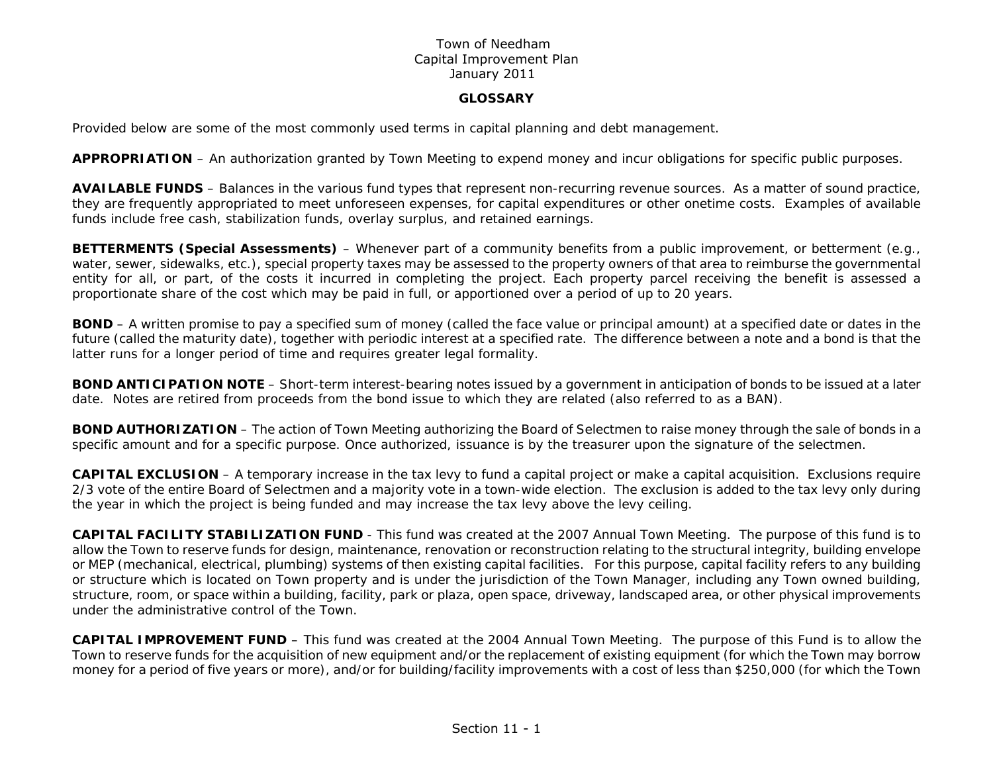#### **GLOSSARY**

Provided below are some of the most commonly used terms in capital planning and debt management.

**APPROPRIATION** – An authorization granted by Town Meeting to expend money and incur obligations for specific public purposes.

**AVAILABLE FUNDS** – Balances in the various fund types that represent non-recurring revenue sources. As a matter of sound practice, they are frequently appropriated to meet unforeseen expenses, for capital expenditures or other onetime costs. Examples of available funds include free cash, stabilization funds, overlay surplus, and retained earnings.

**BETTERMENTS (Special Assessments)** – Whenever part of a community benefits from a public improvement, or betterment (*e.g*., water, sewer, sidewalks, etc.), special property taxes may be assessed to the property owners of that area to reimburse the governmental entity for all, or part, of the costs it incurred in completing the project. Each property parcel receiving the benefit is assessed a proportionate share of the cost which may be paid in full, or apportioned over a period of up to 20 years.

**BOND** – A written promise to pay a specified sum of money (called the face value or principal amount) at a specified date or dates in the future (called the maturity date), together with periodic interest at a specified rate. The difference between a note and a bond is that the latter runs for a longer period of time and requires greater legal formality.

**BOND ANTICIPATION NOTE** – Short-term interest-bearing notes issued by a government in anticipation of bonds to be issued at a later date. Notes are retired from proceeds from the bond issue to which they are related (also referred to as a BAN).

**BOND AUTHORIZATION** – The action of Town Meeting authorizing the Board of Selectmen to raise money through the sale of bonds in a specific amount and for a specific purpose. Once authorized, issuance is by the treasurer upon the signature of the selectmen.

**CAPITAL EXCLUSION** – A *temporary* increase in the tax levy to fund a capital project or make a capital acquisition. Exclusions require 2/3 vote of the entire Board of Selectmen and a majority vote in a town-wide election. The exclusion is added to the tax levy only during the year in which the project is being funded and may increase the tax levy above the levy ceiling.

**CAPITAL FACILITY STABILIZATION FUND** - This fund was created at the 2007 Annual Town Meeting. The purpose of this fund is to allow the Town to reserve funds for design, maintenance, renovation or reconstruction relating to the structural integrity, building envelope or MEP (mechanical, electrical, plumbing) systems of then existing capital facilities. For this purpose, capital facility refers to any building or structure which is located on Town property and is under the jurisdiction of the Town Manager, including any Town owned building, structure, room, or space within a building, facility, park or plaza, open space, driveway, landscaped area, or other physical improvements under the administrative control of the Town.

**CAPITAL IMPROVEMENT FUND** – This fund was created at the 2004 Annual Town Meeting. The purpose of this Fund is to allow the Town to reserve funds for the acquisition of new equipment and/or the replacement of existing equipment (for which the Town may borrow money for a period of five years or more), and/or for building/facility improvements with a cost of less than \$250,000 (for which the Town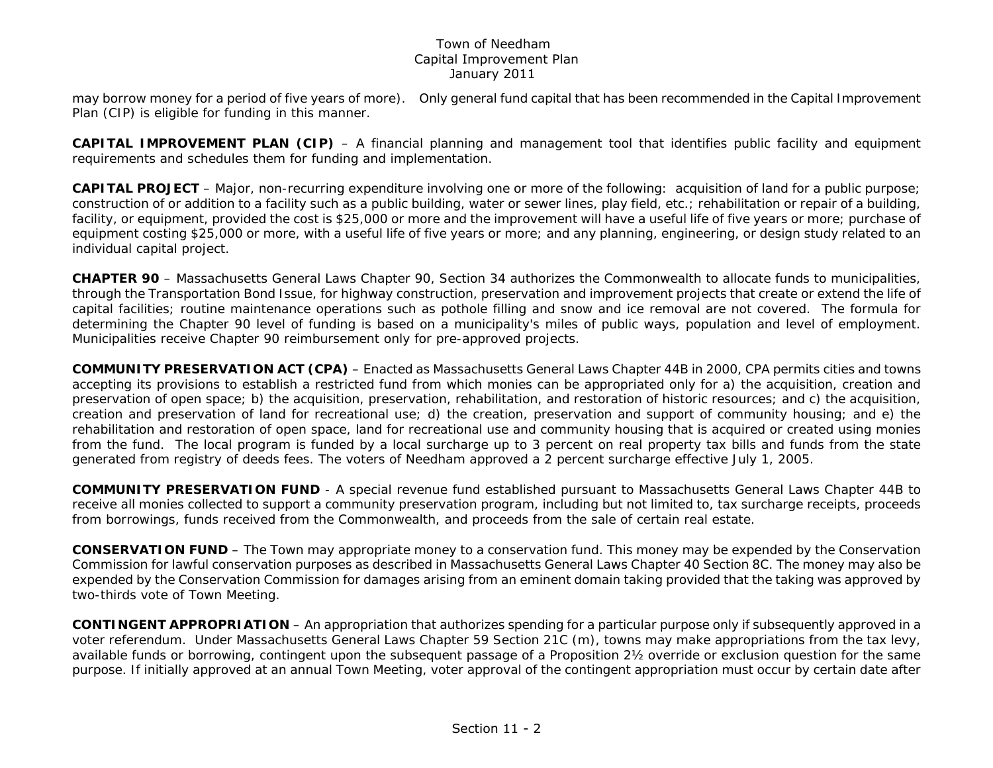may borrow money for a period of five years of more). Only general fund capital that has been recommended in the Capital Improvement Plan (CIP) is eligible for funding in this manner.

**CAPITAL IMPROVEMENT PLAN (CIP)** – A financial planning and management tool that identifies public facility and equipment requirements and schedules them for funding and implementation.

**CAPITAL PROJECT** – Major, non-recurring expenditure involving one or more of the following: acquisition of land for a public purpose; construction of or addition to a facility such as a public building, water or sewer lines, play field, etc.; rehabilitation or repair of a building, facility, or equipment, provided the cost is \$25,000 or more and the improvement will have a useful life of five years or more; purchase of equipment costing \$25,000 or more, with a useful life of five years or more; and any planning, engineering, or design study related to an individual capital project.

**CHAPTER 90** – Massachusetts General Laws Chapter 90, Section 34 authorizes the Commonwealth to allocate funds to municipalities, through the Transportation Bond Issue, for highway construction, preservation and improvement projects that create or extend the life of capital facilities; routine maintenance operations such as pothole filling and snow and ice removal are not covered. The formula for determining the Chapter 90 level of funding is based on a municipality's miles of public ways, population and level of employment. Municipalities receive Chapter 90 reimbursement only for pre-approved projects.

**COMMUNITY PRESERVATION ACT (CPA)** – Enacted as Massachusetts General Laws Chapter 44B in 2000, CPA permits cities and towns accepting its provisions to establish a restricted fund from which monies can be appropriated only for a) the acquisition, creation and preservation of open space; b) the acquisition, preservation, rehabilitation, and restoration of historic resources; and c) the acquisition, creation and preservation of land for recreational use; d) the creation, preservation and support of community housing; and e) the rehabilitation and restoration of open space, land for recreational use and community housing that is acquired or created using monies from the fund. The local program is funded by a local surcharge up to 3 percent on real property tax bills and funds from the state generated from registry of deeds fees. The voters of Needham approved a 2 percent surcharge effective July 1, 2005.

**COMMUNITY PRESERVATION FUND** - A special revenue fund established pursuant to Massachusetts General Laws Chapter 44B to receive all monies collected to support a community preservation program, including but not limited to, tax surcharge receipts, proceeds from borrowings, funds received from the Commonwealth, and proceeds from the sale of certain real estate.

**CONSERVATION FUND** – The Town may appropriate money to a conservation fund. This money may be expended by the Conservation Commission for lawful conservation purposes as described in Massachusetts General Laws Chapter 40 Section 8C. The money may also be expended by the Conservation Commission for damages arising from an eminent domain taking provided that the taking was approved by two-thirds vote of Town Meeting.

**CONTINGENT APPROPRIATION** – An appropriation that authorizes spending for a particular purpose only if subsequently approved in a voter referendum. Under Massachusetts General Laws Chapter 59 Section 21C (m), towns may make appropriations from the tax levy, available funds or borrowing, contingent upon the subsequent passage of a Proposition 2½ override or exclusion question for the same purpose. If initially approved at an annual Town Meeting, voter approval of the contingent appropriation must occur by certain date after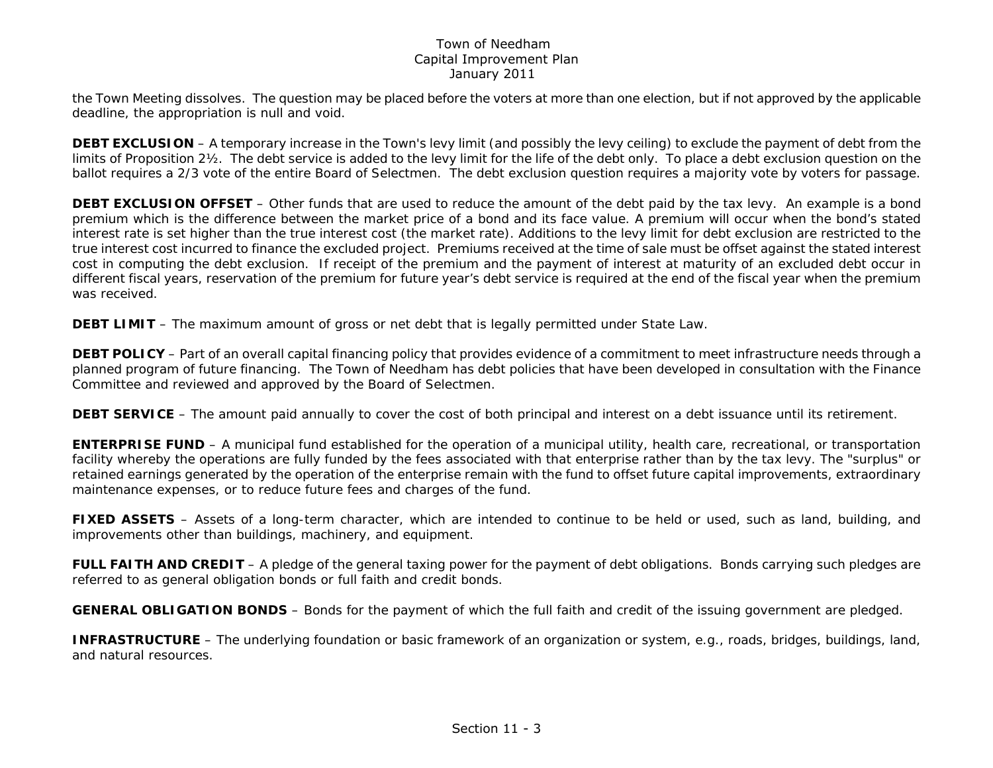the Town Meeting dissolves. The question may be placed before the voters at more than one election, but if not approved by the applicable deadline, the appropriation is null and void.

**DEBT EXCLUSION** – A *temporary* increase in the Town's levy limit (and possibly the levy ceiling) to exclude the payment of debt from the limits of Proposition 2½. The debt service is added to the levy limit for the life of the debt only. To place a debt exclusion question on the ballot requires a 2/3 vote of the entire Board of Selectmen. The debt exclusion question requires a majority vote by voters for passage.

**DEBT EXCLUSION OFFSET** – Other funds that are used to reduce the amount of the debt paid by the tax levy. An example is a bond premium which is the difference between the market price of a bond and its face value. A premium will occur when the bond's stated interest rate is set higher than the true interest cost (the market rate). Additions to the levy limit for debt exclusion are restricted to the true interest cost incurred to finance the excluded project. Premiums received at the time of sale must be offset against the stated interest cost in computing the debt exclusion. If receipt of the premium and the payment of interest at maturity of an excluded debt occur in different fiscal years, reservation of the premium for future year's debt service is required at the end of the fiscal year when the premium was received.

**DEBT LIMIT** – The maximum amount of gross or net debt that is legally permitted under State Law.

**DEBT POLICY** – Part of an overall capital financing policy that provides evidence of a commitment to meet infrastructure needs through a planned program of future financing. The Town of Needham has debt policies that have been developed in consultation with the Finance Committee and reviewed and approved by the Board of Selectmen.

**DEBT SERVICE** – The amount paid annually to cover the cost of both principal and interest on a debt issuance until its retirement.

**ENTERPRISE FUND** – A municipal fund established for the operation of a municipal utility, health care, recreational, or transportation facility whereby the operations are fully funded by the fees associated with that enterprise rather than by the tax levy. The "surplus" or retained earnings generated by the operation of the enterprise remain with the fund to offset future capital improvements, extraordinary maintenance expenses, or to reduce future fees and charges of the fund.

**FIXED ASSETS** – Assets of a long-term character, which are intended to continue to be held or used, such as land, building, and improvements other than buildings, machinery, and equipment.

**FULL FAITH AND CREDIT** – A pledge of the general taxing power for the payment of debt obligations. Bonds carrying such pledges are referred to as general obligation bonds or full faith and credit bonds.

**GENERAL OBLIGATION BONDS** – Bonds for the payment of which the full faith and credit of the issuing government are pledged.

**INFRASTRUCTURE** – The underlying foundation or basic framework of an organization or system, e.g., roads, bridges, buildings, land, and natural resources.